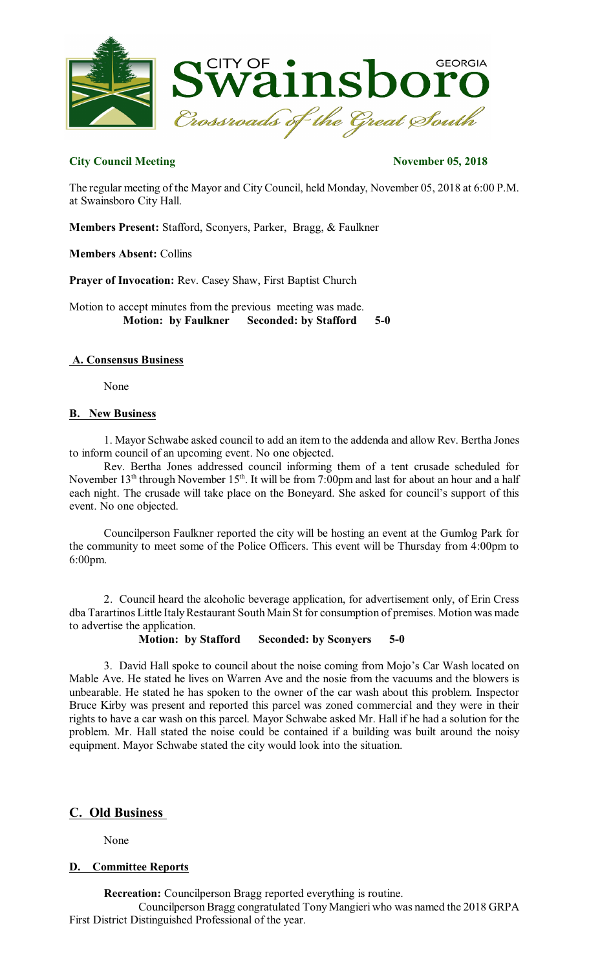

# **City Council Meeting November 05, 2018**

The regular meeting of the Mayor and City Council, held Monday, November 05, 2018 at 6:00 P.M. at Swainsboro City Hall.

**Members Present:** Stafford, Sconyers, Parker, Bragg, & Faulkner

**Members Absent:** Collins

**Prayer of Invocation:** Rev. Casey Shaw, First Baptist Church

Motion to accept minutes from the previous meeting was made. **Motion: by Faulkner Seconded: by Stafford 5-0** 

## **A. Consensus Business**

None

## **B. New Business**

1. Mayor Schwabe asked council to add an item to the addenda and allow Rev. Bertha Jones to inform council of an upcoming event. No one objected.

Rev. Bertha Jones addressed council informing them of a tent crusade scheduled for November  $13^{\text{th}}$  through November  $15^{\text{th}}$ . It will be from 7:00pm and last for about an hour and a half each night. The crusade will take place on the Boneyard. She asked for council's support of this event. No one objected.

Councilperson Faulkner reported the city will be hosting an event at the Gumlog Park for the community to meet some of the Police Officers. This event will be Thursday from 4:00pm to 6:00pm.

2. Council heard the alcoholic beverage application, for advertisement only, of Erin Cress dba Tarartinos Little Italy Restaurant South Main St for consumption of premises. Motion was made to advertise the application.

**Motion: by Stafford Seconded: by Sconyers 5-0** 

3. David Hall spoke to council about the noise coming from Mojo's Car Wash located on Mable Ave. He stated he lives on Warren Ave and the nosie from the vacuums and the blowers is unbearable. He stated he has spoken to the owner of the car wash about this problem. Inspector Bruce Kirby was present and reported this parcel was zoned commercial and they were in their rights to have a car wash on this parcel. Mayor Schwabe asked Mr. Hall if he had a solution for the problem. Mr. Hall stated the noise could be contained if a building was built around the noisy equipment. Mayor Schwabe stated the city would look into the situation.

# **C. Old Business**

None

# **D. Committee Reports**

**Recreation:** Councilperson Bragg reported everything is routine.

Councilperson Bragg congratulated Tony Mangieri who was named the 2018 GRPA First District Distinguished Professional of the year.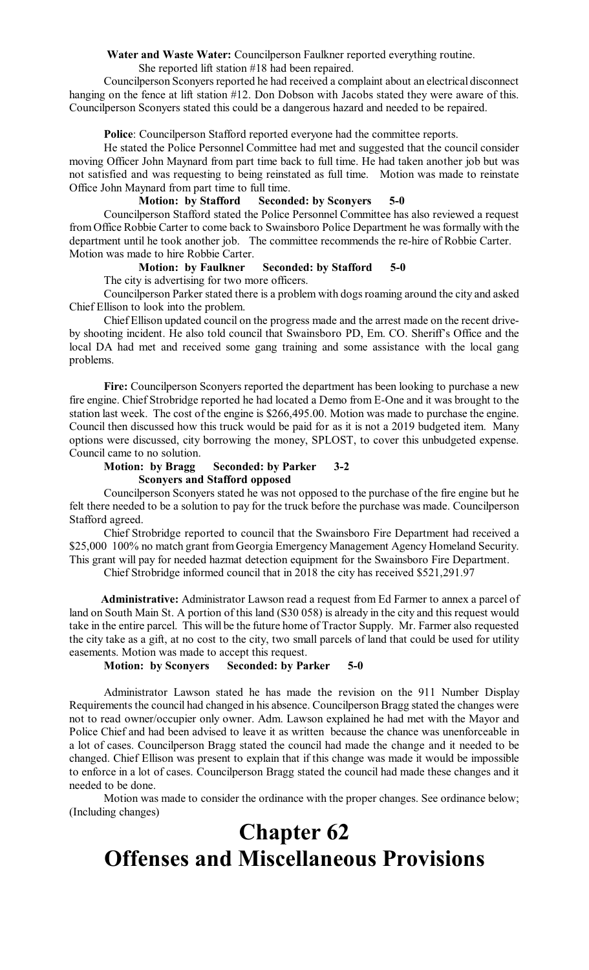**Water and Waste Water:** Councilperson Faulkner reported everything routine.

She reported lift station #18 had been repaired.

Councilperson Sconyers reported he had received a complaint about an electrical disconnect hanging on the fence at lift station #12. Don Dobson with Jacobs stated they were aware of this. Councilperson Sconyers stated this could be a dangerous hazard and needed to be repaired.

**Police**: Councilperson Stafford reported everyone had the committee reports.

He stated the Police Personnel Committee had met and suggested that the council consider moving Officer John Maynard from part time back to full time. He had taken another job but was not satisfied and was requesting to being reinstated as full time. Motion was made to reinstate Office John Maynard from part time to full time.

## **Motion: by Stafford Seconded: by Sconyers 5-0**

Councilperson Stafford stated the Police Personnel Committee has also reviewed a request from Office Robbie Carter to come back to Swainsboro Police Department he was formally with the department until he took another job. The committee recommends the re-hire of Robbie Carter. Motion was made to hire Robbie Carter.

# **Motion: by Faulkner Seconded: by Stafford 5-0**

The city is advertising for two more officers.

Councilperson Parker stated there is a problem with dogsroaming around the city and asked Chief Ellison to look into the problem.

Chief Ellison updated council on the progress made and the arrest made on the recent driveby shooting incident. He also told council that Swainsboro PD, Em. CO. Sheriff's Office and the local DA had met and received some gang training and some assistance with the local gang problems.

**Fire:** Councilperson Sconyers reported the department has been looking to purchase a new fire engine. Chief Strobridge reported he had located a Demo from E-One and it was brought to the station last week. The cost of the engine is \$266,495.00. Motion was made to purchase the engine. Council then discussed how this truck would be paid for as it is not a 2019 budgeted item. Many options were discussed, city borrowing the money, SPLOST, to cover this unbudgeted expense. Council came to no solution.

# **Motion: by Bragg Seconded: by Parker 3-2 Sconyers and Stafford opposed**

Councilperson Sconyers stated he was not opposed to the purchase of the fire engine but he felt there needed to be a solution to pay for the truck before the purchase was made. Councilperson Stafford agreed.

Chief Strobridge reported to council that the Swainsboro Fire Department had received a \$25,000 100% no match grant from Georgia Emergency Management Agency Homeland Security. This grant will pay for needed hazmat detection equipment for the Swainsboro Fire Department.

Chief Strobridge informed council that in 2018 the city has received \$521,291.97

**Administrative:** Administrator Lawson read a request from Ed Farmer to annex a parcel of land on South Main St. A portion of this land (S30 058) is already in the city and this request would take in the entire parcel. This will be the future home of Tractor Supply. Mr. Farmer also requested the city take as a gift, at no cost to the city, two small parcels of land that could be used for utility easements. Motion was made to accept this request.

#### **Motion: by Sconyers Seconded: by Parker 5-0**

Administrator Lawson stated he has made the revision on the 911 Number Display Requirements the council had changed in his absence. Councilperson Bragg stated the changes were not to read owner/occupier only owner. Adm. Lawson explained he had met with the Mayor and Police Chief and had been advised to leave it as written because the chance was unenforceable in a lot of cases. Councilperson Bragg stated the council had made the change and it needed to be changed. Chief Ellison was present to explain that if this change was made it would be impossible to enforce in a lot of cases. Councilperson Bragg stated the council had made these changes and it needed to be done.

Motion was made to consider the ordinance with the proper changes. See ordinance below; (Including changes)

# **Chapter 62 Offenses and Miscellaneous Provisions**